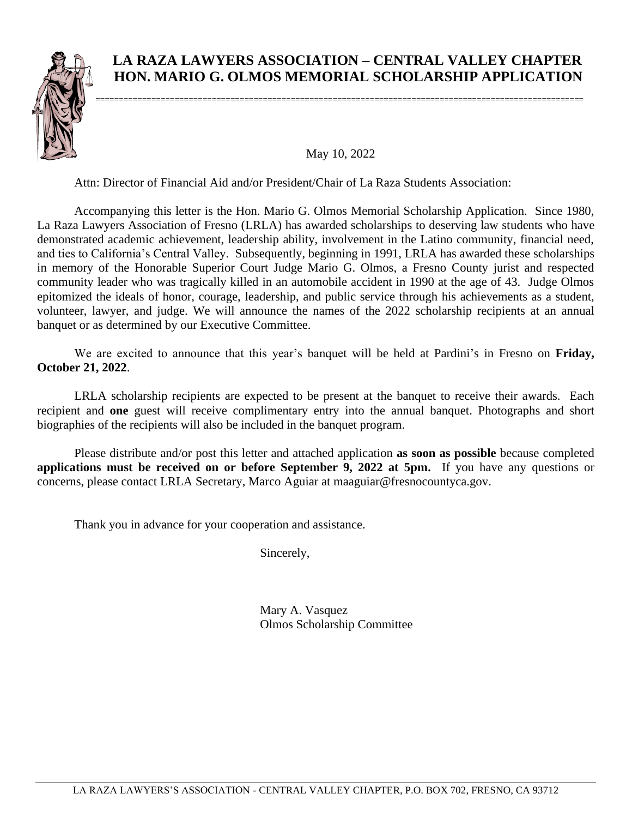

## **LA RAZA LAWYERS ASSOCIATION – CENTRAL VALLEY CHAPTER HON. MARIO G. OLMOS MEMORIAL SCHOLARSHIP APPLICATION**

May 10, 2022

Attn: Director of Financial Aid and/or President/Chair of La Raza Students Association:

Accompanying this letter is the Hon. Mario G. Olmos Memorial Scholarship Application. Since 1980, La Raza Lawyers Association of Fresno (LRLA) has awarded scholarships to deserving law students who have demonstrated academic achievement, leadership ability, involvement in the Latino community, financial need, and ties to California's Central Valley. Subsequently, beginning in 1991, LRLA has awarded these scholarships in memory of the Honorable Superior Court Judge Mario G. Olmos, a Fresno County jurist and respected community leader who was tragically killed in an automobile accident in 1990 at the age of 43. Judge Olmos epitomized the ideals of honor, courage, leadership, and public service through his achievements as a student, volunteer, lawyer, and judge. We will announce the names of the 2022 scholarship recipients at an annual banquet or as determined by our Executive Committee.

We are excited to announce that this year's banquet will be held at Pardini's in Fresno on **Friday, October 21, 2022**.

LRLA scholarship recipients are expected to be present at the banquet to receive their awards. Each recipient and **one** guest will receive complimentary entry into the annual banquet. Photographs and short biographies of the recipients will also be included in the banquet program.

Please distribute and/or post this letter and attached application **as soon as possible** because completed **applications must be received on or before September 9, 2022 at 5pm.** If you have any questions or concerns, please contact LRLA Secretary, Marco Aguiar at maaguiar@fresnocountyca.gov.

Thank you in advance for your cooperation and assistance.

Sincerely,

Mary A. Vasquez Olmos Scholarship Committee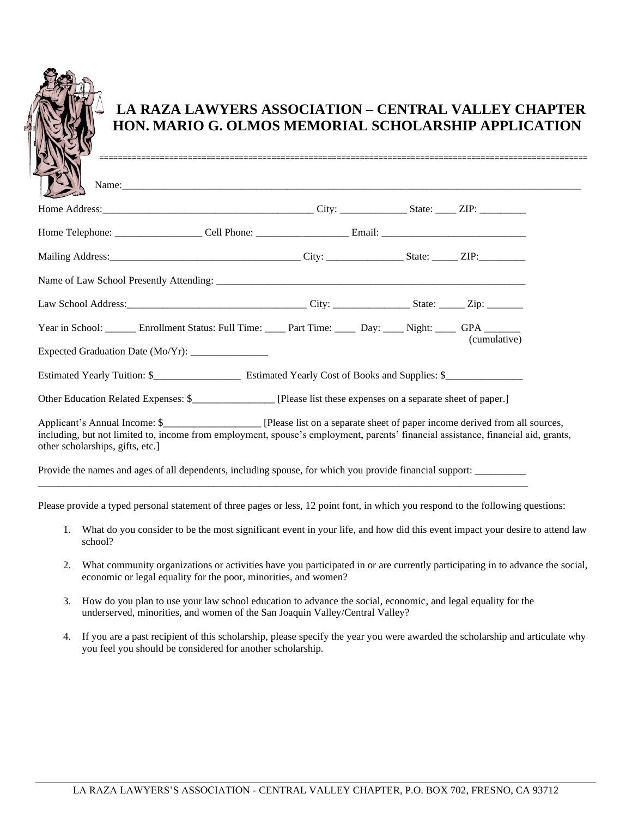

# **LA RAZA LAWYERS ASSOCIATION – CENTRAL VALLEY CHAPTER HON. MARIO G. OLMOS MEMORIAL SCHOLARSHIP APPLICATION**

| Year in School: _______ Enrollment Status: Full Time: ____ Part Time: _____ Day: ____ Night: ____ GPA _______<br>(cumulative)<br>Expected Graduation Date (Mo/Yr): ______________ |
|-----------------------------------------------------------------------------------------------------------------------------------------------------------------------------------|
|                                                                                                                                                                                   |
|                                                                                                                                                                                   |
|                                                                                                                                                                                   |
|                                                                                                                                                                                   |
|                                                                                                                                                                                   |
|                                                                                                                                                                                   |
|                                                                                                                                                                                   |
| Other Education Related Expenses: \$<br>[Please list these expenses on a separate sheet of paper.]                                                                                |
| including, but not limited to, income from employment, spouse's employment, parents' financial assistance, financial aid, grants,<br>other scholarships, gifts, etc.]             |

Please provide a typed personal statement of three pages or less, 12 point font, in which you respond to the following questions:

\_\_\_\_\_\_\_\_\_\_\_\_\_\_\_\_\_\_\_\_\_\_\_\_\_\_\_\_\_\_\_\_\_\_\_\_\_\_\_\_\_\_\_\_\_\_\_\_\_\_\_\_\_\_\_\_\_\_\_\_\_\_\_\_\_\_\_\_\_\_\_\_\_\_\_\_\_\_\_\_\_\_\_\_\_\_\_\_\_\_\_\_\_\_\_

- 1. What do you consider to be the most significant event in your life, and how did this event impact your desire to attend law school?
- 2. What community organizations or activities have you participated in or are currently participating in to advance the social, economic or legal equality for the poor, minorities, and women?
- 3. How do you plan to use your law school education to advance the social, economic, and legal equality for the underserved, minorities, and women of the San Joaquin Valley/Central Valley?
- 4. If you are a past recipient of this scholarship, please specify the year you were awarded the scholarship and articulate why you feel you should be considered for another scholarship.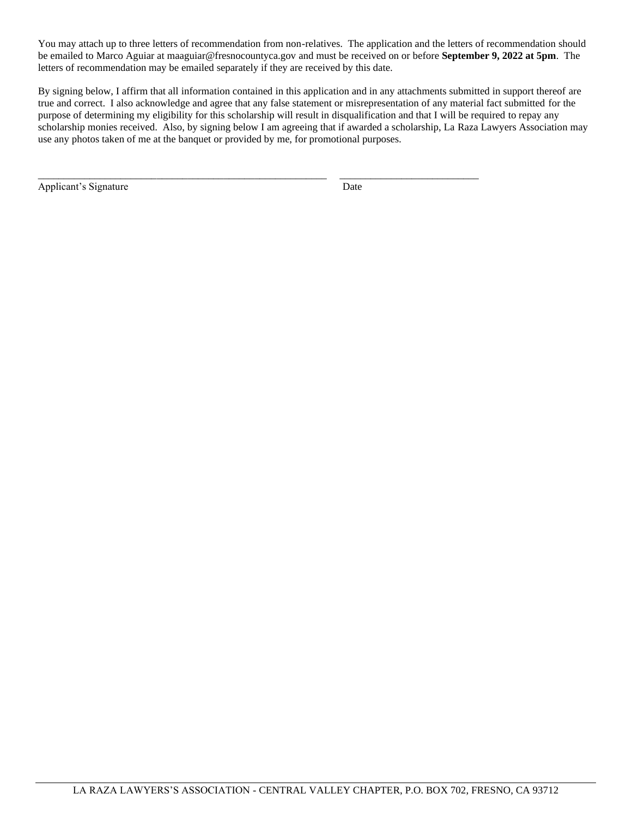You may attach up to three letters of recommendation from non-relatives. The application and the letters of recommendation should be emailed to Marco Aguiar at maaguiar@fresnocountyca.gov and must be received on or before **September 9, 2022 at 5pm**. The letters of recommendation may be emailed separately if they are received by this date.

By signing below, I affirm that all information contained in this application and in any attachments submitted in support thereof are true and correct. I also acknowledge and agree that any false statement or misrepresentation of any material fact submitted for the purpose of determining my eligibility for this scholarship will result in disqualification and that I will be required to repay any scholarship monies received. Also, by signing below I am agreeing that if awarded a scholarship, La Raza Lawyers Association may use any photos taken of me at the banquet or provided by me, for promotional purposes.

\_\_\_\_\_\_\_\_\_\_\_\_\_\_\_\_\_\_\_\_\_\_\_\_\_\_\_\_\_\_\_\_\_\_\_\_\_\_\_\_\_\_\_\_\_\_\_\_\_\_\_\_\_\_\_\_ \_\_\_\_\_\_\_\_\_\_\_\_\_\_\_\_\_\_\_\_\_\_\_\_\_\_\_

Applicant's Signature Date